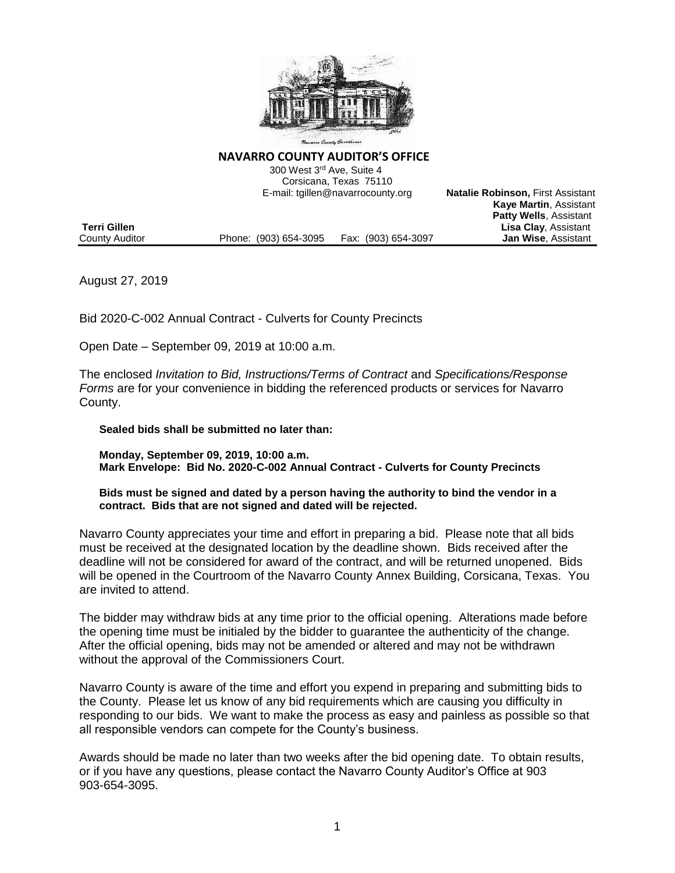

#### **NAVARRO COUNTY AUDITOR'S OFFICE**

 300 West 3rd Ave, Suite 4 Corsicana, Texas 75110 E-mail: tgillen@navarrocounty.org **Natalie Robinson,** First Assistant

|                |                       |                     | <b>Kaye Martin, Assistant</b> |
|----------------|-----------------------|---------------------|-------------------------------|
|                |                       |                     | <b>Patty Wells, Assistant</b> |
| Terri Gillen   |                       |                     | <b>Lisa Clay, Assistant</b>   |
| County Auditor | Phone: (903) 654-3095 | Fax: (903) 654-3097 | <b>Jan Wise. Assistant</b>    |

August 27, 2019

Bid 2020-C-002 Annual Contract - Culverts for County Precincts

Open Date – September 09, 2019 at 10:00 a.m.

The enclosed *Invitation to Bid, Instructions/Terms of Contract* and *Specifications/Response Forms* are for your convenience in bidding the referenced products or services for Navarro County.

#### **Sealed bids shall be submitted no later than:**

**Monday, September 09, 2019, 10:00 a.m. Mark Envelope: Bid No. 2020-C-002 Annual Contract - Culverts for County Precincts**

#### **Bids must be signed and dated by a person having the authority to bind the vendor in a contract. Bids that are not signed and dated will be rejected.**

Navarro County appreciates your time and effort in preparing a bid. Please note that all bids must be received at the designated location by the deadline shown. Bids received after the deadline will not be considered for award of the contract, and will be returned unopened. Bids will be opened in the Courtroom of the Navarro County Annex Building, Corsicana, Texas. You are invited to attend.

The bidder may withdraw bids at any time prior to the official opening. Alterations made before the opening time must be initialed by the bidder to guarantee the authenticity of the change. After the official opening, bids may not be amended or altered and may not be withdrawn without the approval of the Commissioners Court.

Navarro County is aware of the time and effort you expend in preparing and submitting bids to the County. Please let us know of any bid requirements which are causing you difficulty in responding to our bids. We want to make the process as easy and painless as possible so that all responsible vendors can compete for the County's business.

Awards should be made no later than two weeks after the bid opening date. To obtain results, or if you have any questions, please contact the Navarro County Auditor's Office at 903 903-654-3095.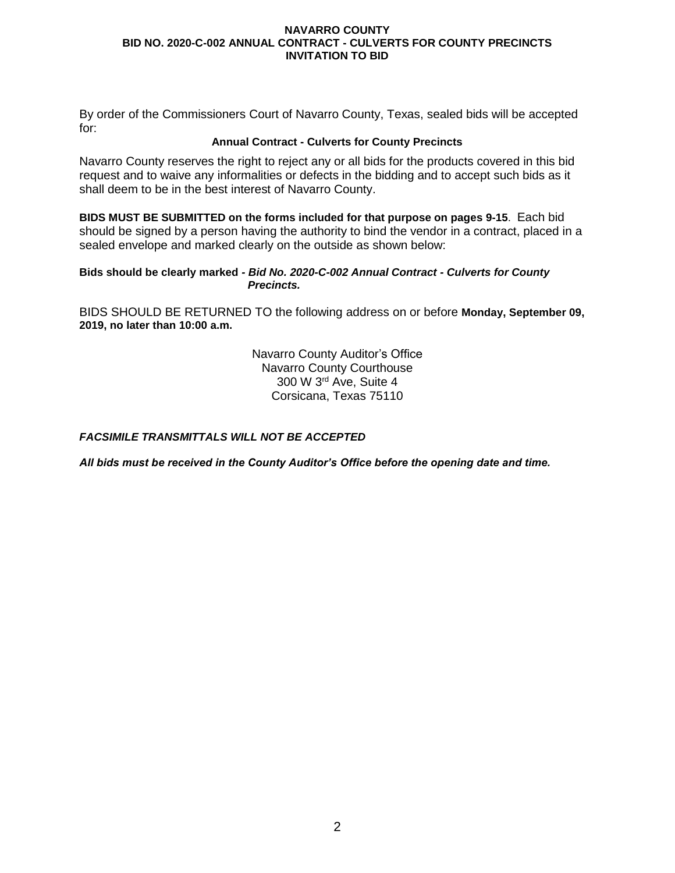By order of the Commissioners Court of Navarro County, Texas, sealed bids will be accepted for:

## **Annual Contract - Culverts for County Precincts**

Navarro County reserves the right to reject any or all bids for the products covered in this bid request and to waive any informalities or defects in the bidding and to accept such bids as it shall deem to be in the best interest of Navarro County.

**BIDS MUST BE SUBMITTED on the forms included for that purpose on pages 9-15**. Each bid should be signed by a person having the authority to bind the vendor in a contract, placed in a sealed envelope and marked clearly on the outside as shown below:

#### **Bids should be clearly marked** *- Bid No. 2020-C-002 Annual Contract - Culverts for County Precincts.*

BIDS SHOULD BE RETURNED TO the following address on or before **Monday, September 09, 2019, no later than 10:00 a.m.**

> Navarro County Auditor's Office Navarro County Courthouse 300 W 3rd Ave, Suite 4 Corsicana, Texas 75110

## *FACSIMILE TRANSMITTALS WILL NOT BE ACCEPTED*

*All bids must be received in the County Auditor's Office before the opening date and time.*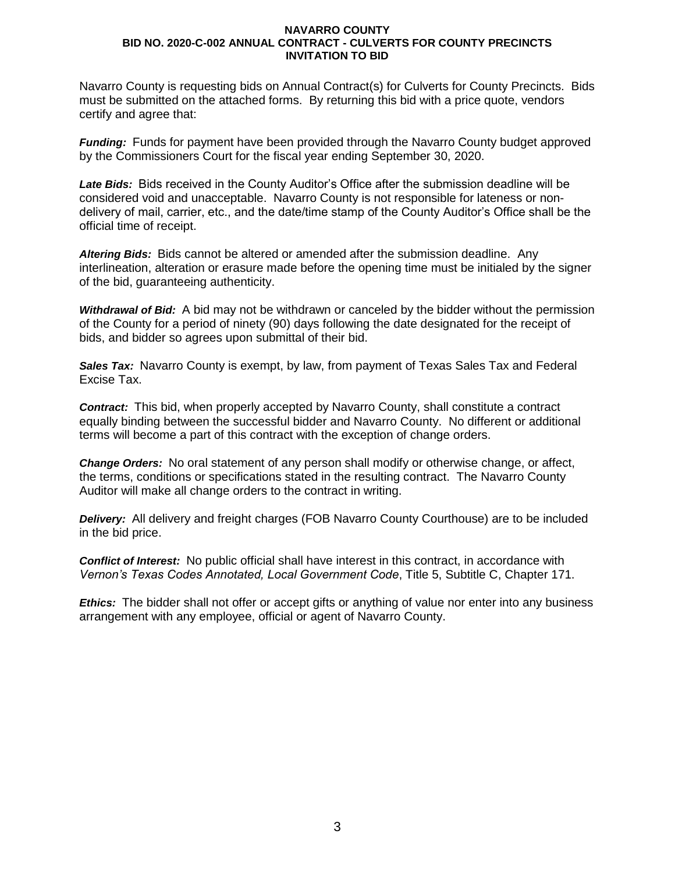Navarro County is requesting bids on Annual Contract(s) for Culverts for County Precincts. Bids must be submitted on the attached forms. By returning this bid with a price quote, vendors certify and agree that:

*Funding:* Funds for payment have been provided through the Navarro County budget approved by the Commissioners Court for the fiscal year ending September 30, 2020.

*Late Bids:* Bids received in the County Auditor's Office after the submission deadline will be considered void and unacceptable. Navarro County is not responsible for lateness or nondelivery of mail, carrier, etc., and the date/time stamp of the County Auditor's Office shall be the official time of receipt.

*Altering Bids:* Bids cannot be altered or amended after the submission deadline. Any interlineation, alteration or erasure made before the opening time must be initialed by the signer of the bid, guaranteeing authenticity.

*Withdrawal of Bid:* A bid may not be withdrawn or canceled by the bidder without the permission of the County for a period of ninety (90) days following the date designated for the receipt of bids, and bidder so agrees upon submittal of their bid.

*Sales Tax:* Navarro County is exempt, by law, from payment of Texas Sales Tax and Federal Excise Tax.

*Contract:* This bid, when properly accepted by Navarro County, shall constitute a contract equally binding between the successful bidder and Navarro County. No different or additional terms will become a part of this contract with the exception of change orders.

*Change Orders:* No oral statement of any person shall modify or otherwise change, or affect, the terms, conditions or specifications stated in the resulting contract. The Navarro County Auditor will make all change orders to the contract in writing.

*Delivery:* All delivery and freight charges (FOB Navarro County Courthouse) are to be included in the bid price.

*Conflict of Interest:* No public official shall have interest in this contract, in accordance with *Vernon's Texas Codes Annotated, Local Government Code*, Title 5, Subtitle C, Chapter 171.

*Ethics:* The bidder shall not offer or accept gifts or anything of value nor enter into any business arrangement with any employee, official or agent of Navarro County.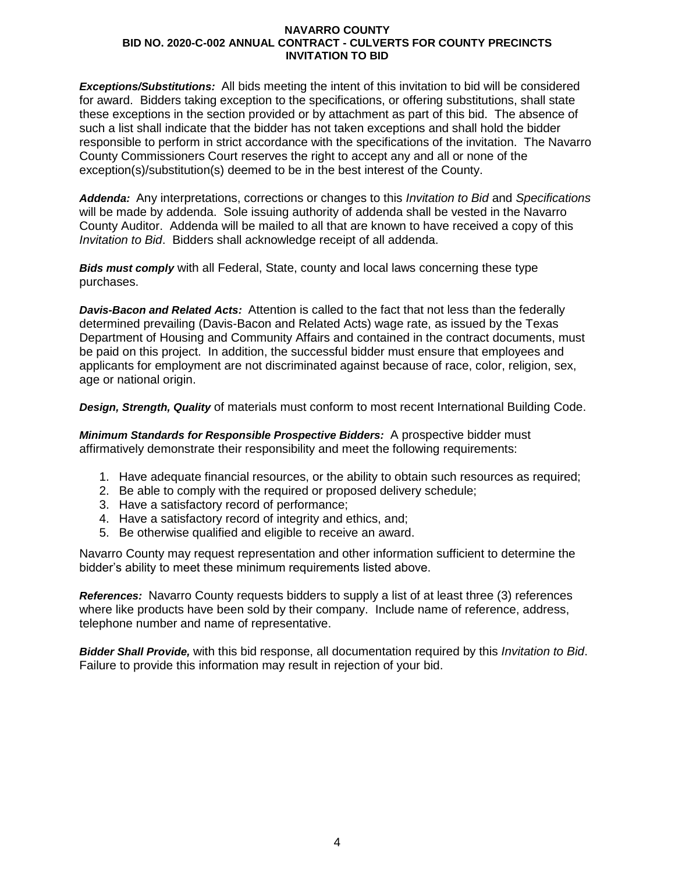*Exceptions/Substitutions:* All bids meeting the intent of this invitation to bid will be considered for award. Bidders taking exception to the specifications, or offering substitutions, shall state these exceptions in the section provided or by attachment as part of this bid. The absence of such a list shall indicate that the bidder has not taken exceptions and shall hold the bidder responsible to perform in strict accordance with the specifications of the invitation. The Navarro County Commissioners Court reserves the right to accept any and all or none of the exception(s)/substitution(s) deemed to be in the best interest of the County.

*Addenda:* Any interpretations, corrections or changes to this *Invitation to Bid* and *Specifications* will be made by addenda. Sole issuing authority of addenda shall be vested in the Navarro County Auditor. Addenda will be mailed to all that are known to have received a copy of this *Invitation to Bid*. Bidders shall acknowledge receipt of all addenda.

*Bids must comply* with all Federal, State, county and local laws concerning these type purchases.

*Davis-Bacon and Related Acts:* Attention is called to the fact that not less than the federally determined prevailing (Davis-Bacon and Related Acts) wage rate, as issued by the Texas Department of Housing and Community Affairs and contained in the contract documents, must be paid on this project. In addition, the successful bidder must ensure that employees and applicants for employment are not discriminated against because of race, color, religion, sex, age or national origin.

*Design, Strength, Quality* of materials must conform to most recent International Building Code.

*Minimum Standards for Responsible Prospective Bidders:* A prospective bidder must affirmatively demonstrate their responsibility and meet the following requirements:

- 1. Have adequate financial resources, or the ability to obtain such resources as required;
- 2. Be able to comply with the required or proposed delivery schedule;
- 3. Have a satisfactory record of performance;
- 4. Have a satisfactory record of integrity and ethics, and;
- 5. Be otherwise qualified and eligible to receive an award.

Navarro County may request representation and other information sufficient to determine the bidder's ability to meet these minimum requirements listed above.

*References:* Navarro County requests bidders to supply a list of at least three (3) references where like products have been sold by their company. Include name of reference, address, telephone number and name of representative.

*Bidder Shall Provide,* with this bid response, all documentation required by this *Invitation to Bid*. Failure to provide this information may result in rejection of your bid.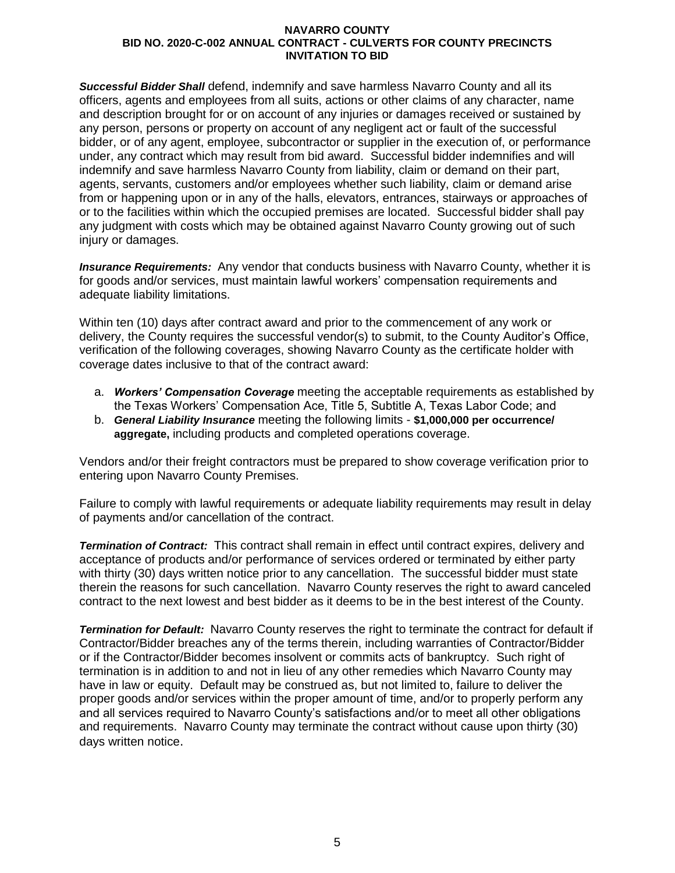*Successful Bidder Shall* defend, indemnify and save harmless Navarro County and all its officers, agents and employees from all suits, actions or other claims of any character, name and description brought for or on account of any injuries or damages received or sustained by any person, persons or property on account of any negligent act or fault of the successful bidder, or of any agent, employee, subcontractor or supplier in the execution of, or performance under, any contract which may result from bid award. Successful bidder indemnifies and will indemnify and save harmless Navarro County from liability, claim or demand on their part, agents, servants, customers and/or employees whether such liability, claim or demand arise from or happening upon or in any of the halls, elevators, entrances, stairways or approaches of or to the facilities within which the occupied premises are located. Successful bidder shall pay any judgment with costs which may be obtained against Navarro County growing out of such injury or damages.

*Insurance Requirements:* Any vendor that conducts business with Navarro County, whether it is for goods and/or services, must maintain lawful workers' compensation requirements and adequate liability limitations.

Within ten (10) days after contract award and prior to the commencement of any work or delivery, the County requires the successful vendor(s) to submit, to the County Auditor's Office, verification of the following coverages, showing Navarro County as the certificate holder with coverage dates inclusive to that of the contract award:

- a. *Workers' Compensation Coverage* meeting the acceptable requirements as established by the Texas Workers' Compensation Ace, Title 5, Subtitle A, Texas Labor Code; and
- b. *General Liability Insurance* meeting the following limits **\$1,000,000 per occurrence/ aggregate,** including products and completed operations coverage.

Vendors and/or their freight contractors must be prepared to show coverage verification prior to entering upon Navarro County Premises.

Failure to comply with lawful requirements or adequate liability requirements may result in delay of payments and/or cancellation of the contract.

*Termination of Contract:* This contract shall remain in effect until contract expires, delivery and acceptance of products and/or performance of services ordered or terminated by either party with thirty (30) days written notice prior to any cancellation. The successful bidder must state therein the reasons for such cancellation. Navarro County reserves the right to award canceled contract to the next lowest and best bidder as it deems to be in the best interest of the County.

*Termination for Default:* Navarro County reserves the right to terminate the contract for default if Contractor/Bidder breaches any of the terms therein, including warranties of Contractor/Bidder or if the Contractor/Bidder becomes insolvent or commits acts of bankruptcy. Such right of termination is in addition to and not in lieu of any other remedies which Navarro County may have in law or equity. Default may be construed as, but not limited to, failure to deliver the proper goods and/or services within the proper amount of time, and/or to properly perform any and all services required to Navarro County's satisfactions and/or to meet all other obligations and requirements. Navarro County may terminate the contract without cause upon thirty (30) days written notice.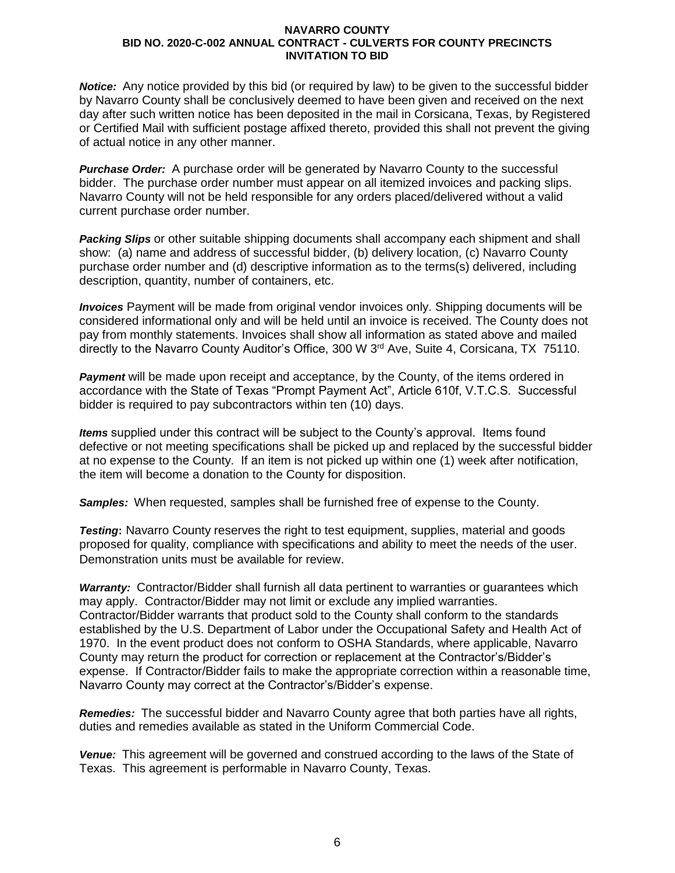*Notice:* Any notice provided by this bid (or required by law) to be given to the successful bidder by Navarro County shall be conclusively deemed to have been given and received on the next day after such written notice has been deposited in the mail in Corsicana, Texas, by Registered or Certified Mail with sufficient postage affixed thereto, provided this shall not prevent the giving of actual notice in any other manner.

*Purchase Order:* A purchase order will be generated by Navarro County to the successful bidder. The purchase order number must appear on all itemized invoices and packing slips. Navarro County will not be held responsible for any orders placed/delivered without a valid current purchase order number.

*Packing Slips* or other suitable shipping documents shall accompany each shipment and shall show: (a) name and address of successful bidder, (b) delivery location, (c) Navarro County purchase order number and (d) descriptive information as to the terms(s) delivered, including description, quantity, number of containers, etc.

*Invoices* Payment will be made from original vendor invoices only. Shipping documents will be considered informational only and will be held until an invoice is received. The County does not pay from monthly statements. Invoices shall show all information as stated above and mailed directly to the Navarro County Auditor's Office, 300 W 3<sup>rd</sup> Ave, Suite 4, Corsicana, TX 75110.

**Payment** will be made upon receipt and acceptance, by the County, of the items ordered in accordance with the State of Texas "Prompt Payment Act", Article 610f, V.T.C.S. Successful bidder is required to pay subcontractors within ten (10) days.

*Items* supplied under this contract will be subject to the County's approval. Items found defective or not meeting specifications shall be picked up and replaced by the successful bidder at no expense to the County. If an item is not picked up within one (1) week after notification, the item will become a donation to the County for disposition.

*Samples:* When requested, samples shall be furnished free of expense to the County.

*Testing***:** Navarro County reserves the right to test equipment, supplies, material and goods proposed for quality, compliance with specifications and ability to meet the needs of the user. Demonstration units must be available for review.

*Warranty:* Contractor/Bidder shall furnish all data pertinent to warranties or guarantees which may apply. Contractor/Bidder may not limit or exclude any implied warranties. Contractor/Bidder warrants that product sold to the County shall conform to the standards established by the U.S. Department of Labor under the Occupational Safety and Health Act of 1970. In the event product does not conform to OSHA Standards, where applicable, Navarro County may return the product for correction or replacement at the Contractor's/Bidder's expense. If Contractor/Bidder fails to make the appropriate correction within a reasonable time, Navarro County may correct at the Contractor's/Bidder's expense.

*Remedies:* The successful bidder and Navarro County agree that both parties have all rights, duties and remedies available as stated in the Uniform Commercial Code.

*Venue:* This agreement will be governed and construed according to the laws of the State of Texas. This agreement is performable in Navarro County, Texas.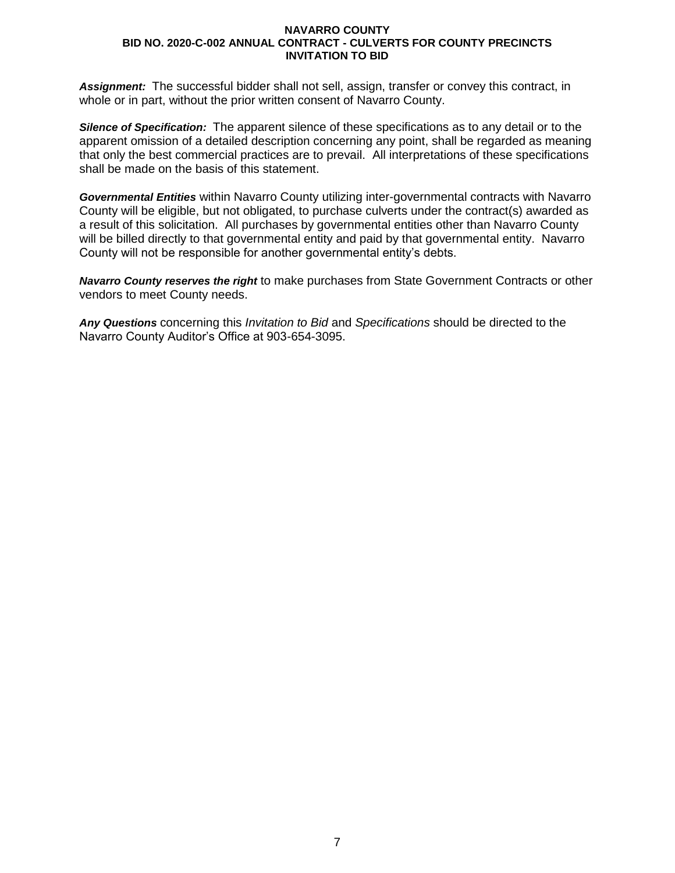*Assignment:* The successful bidder shall not sell, assign, transfer or convey this contract, in whole or in part, without the prior written consent of Navarro County.

*Silence of Specification:* The apparent silence of these specifications as to any detail or to the apparent omission of a detailed description concerning any point, shall be regarded as meaning that only the best commercial practices are to prevail. All interpretations of these specifications shall be made on the basis of this statement.

*Governmental Entities* within Navarro County utilizing inter-governmental contracts with Navarro County will be eligible, but not obligated, to purchase culverts under the contract(s) awarded as a result of this solicitation. All purchases by governmental entities other than Navarro County will be billed directly to that governmental entity and paid by that governmental entity. Navarro County will not be responsible for another governmental entity's debts.

*Navarro County reserves the right* to make purchases from State Government Contracts or other vendors to meet County needs.

*Any Questions* concerning this *Invitation to Bid* and *Specifications* should be directed to the Navarro County Auditor's Office at 903-654-3095.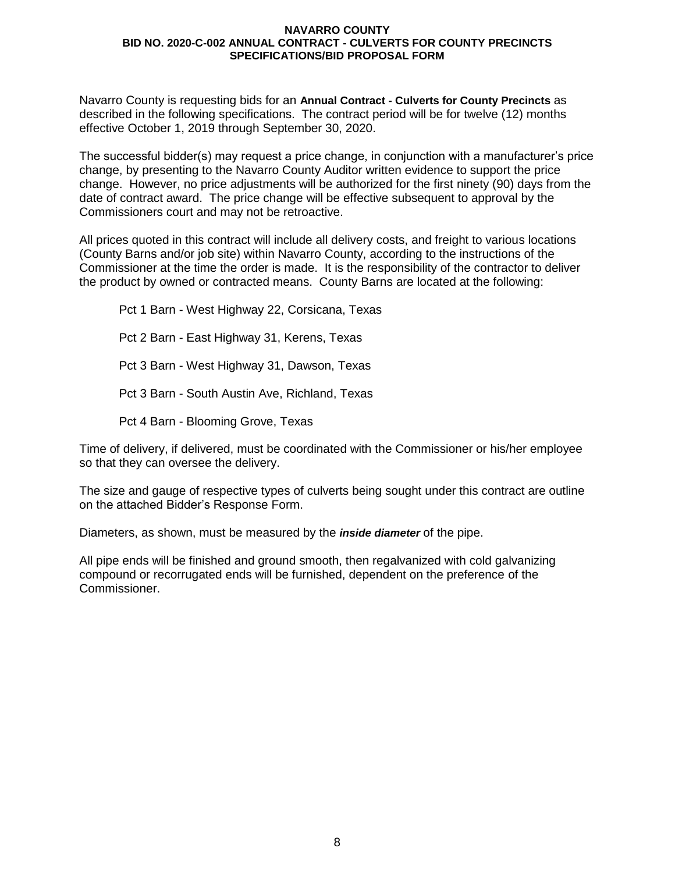Navarro County is requesting bids for an **Annual Contract - Culverts for County Precincts** as described in the following specifications. The contract period will be for twelve (12) months effective October 1, 2019 through September 30, 2020.

The successful bidder(s) may request a price change, in conjunction with a manufacturer's price change, by presenting to the Navarro County Auditor written evidence to support the price change. However, no price adjustments will be authorized for the first ninety (90) days from the date of contract award. The price change will be effective subsequent to approval by the Commissioners court and may not be retroactive.

All prices quoted in this contract will include all delivery costs, and freight to various locations (County Barns and/or job site) within Navarro County, according to the instructions of the Commissioner at the time the order is made. It is the responsibility of the contractor to deliver the product by owned or contracted means. County Barns are located at the following:

Pct 1 Barn - West Highway 22, Corsicana, Texas Pct 2 Barn - East Highway 31, Kerens, Texas Pct 3 Barn - West Highway 31, Dawson, Texas Pct 3 Barn - South Austin Ave, Richland, Texas Pct 4 Barn - Blooming Grove, Texas

Time of delivery, if delivered, must be coordinated with the Commissioner or his/her employee so that they can oversee the delivery.

The size and gauge of respective types of culverts being sought under this contract are outline on the attached Bidder's Response Form.

Diameters, as shown, must be measured by the *inside diameter* of the pipe.

All pipe ends will be finished and ground smooth, then regalvanized with cold galvanizing compound or recorrugated ends will be furnished, dependent on the preference of the Commissioner.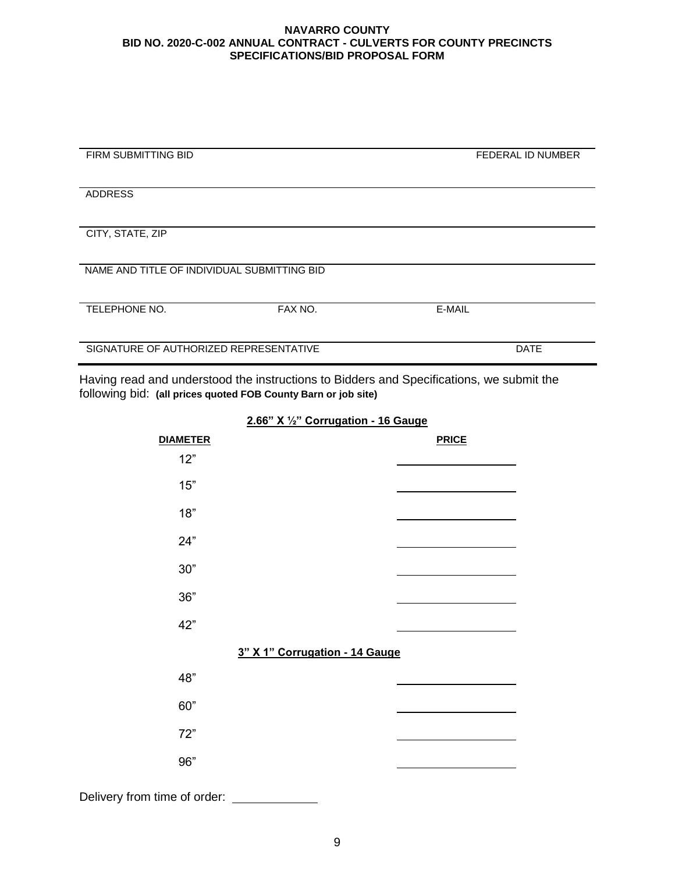| <b>FIRM SUBMITTING BID</b>                  |         | <b>FEDERAL ID NUMBER</b> |
|---------------------------------------------|---------|--------------------------|
|                                             |         |                          |
|                                             |         |                          |
|                                             |         |                          |
| <b>ADDRESS</b>                              |         |                          |
|                                             |         |                          |
|                                             |         |                          |
|                                             |         |                          |
| CITY, STATE, ZIP                            |         |                          |
|                                             |         |                          |
|                                             |         |                          |
|                                             |         |                          |
| NAME AND TITLE OF INDIVIDUAL SUBMITTING BID |         |                          |
|                                             |         |                          |
|                                             |         |                          |
|                                             |         |                          |
| <b>TELEPHONE NO.</b>                        | FAX NO. | E-MAIL                   |
|                                             |         |                          |
|                                             |         |                          |
|                                             |         |                          |
| SIGNATURE OF AUTHORIZED REPRESENTATIVE      |         | <b>DATE</b>              |
|                                             |         |                          |
|                                             |         |                          |

Having read and understood the instructions to Bidders and Specifications, we submit the following bid: **(all prices quoted FOB County Barn or job site)**

> **DIAMETER PRICE**  12" 15" 18" 24" 30" 36" 42" **3" X 1" Corrugation - 14 Gauge** 48" 60" 72" 96"

**2.66" X ½" Corrugation - 16 Gauge**

Delivery from time of order: \_\_\_\_\_\_\_\_\_\_\_\_\_\_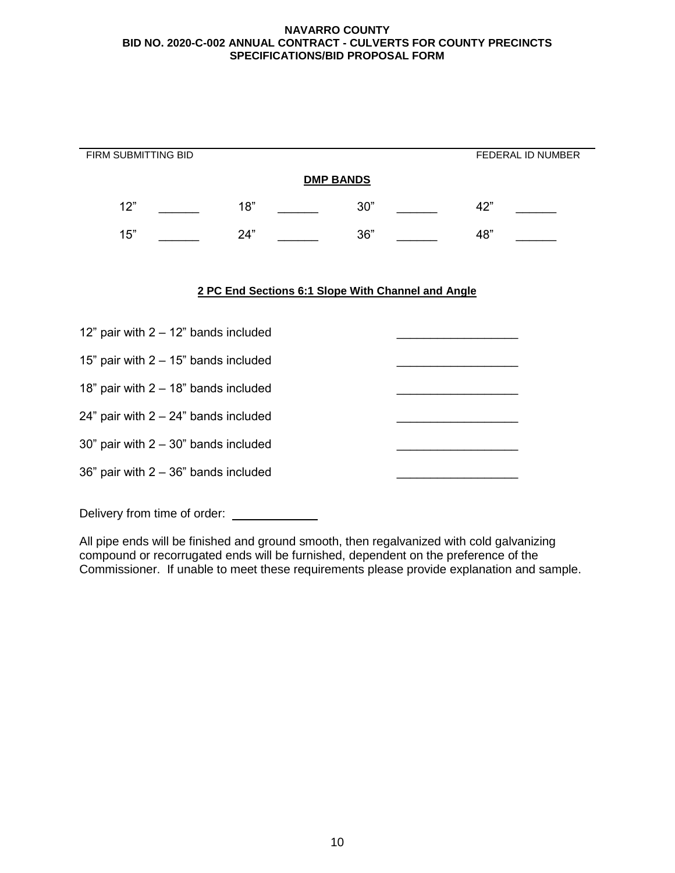| FIRM SUBMITTING BID                     |     |  |     |                                                    |     | FEDERAL ID NUMBER |
|-----------------------------------------|-----|--|-----|----------------------------------------------------|-----|-------------------|
| <b>DMP BANDS</b>                        |     |  |     |                                                    |     |                   |
| 12"                                     | 18" |  | 30" |                                                    | 42" |                   |
| 15"                                     | 24" |  | 36" |                                                    | 48" |                   |
|                                         |     |  |     |                                                    |     |                   |
|                                         |     |  |     | 2 PC End Sections 6:1 Slope With Channel and Angle |     |                   |
|                                         |     |  |     |                                                    |     |                   |
| 12" pair with $2 - 12$ " bands included |     |  |     |                                                    |     |                   |
| 15" pair with $2 - 15$ " bands included |     |  |     |                                                    |     |                   |
| 18" pair with $2 - 18$ " bands included |     |  |     |                                                    |     |                   |
| 24" pair with $2 - 24$ " bands included |     |  |     |                                                    |     |                   |
| 30" pair with $2 - 30$ " bands included |     |  |     |                                                    |     |                   |
| 36" pair with $2 - 36$ " bands included |     |  |     |                                                    |     |                   |

Delivery from time of order: \_\_\_\_\_\_\_\_\_\_\_\_\_

All pipe ends will be finished and ground smooth, then regalvanized with cold galvanizing compound or recorrugated ends will be furnished, dependent on the preference of the Commissioner. If unable to meet these requirements please provide explanation and sample.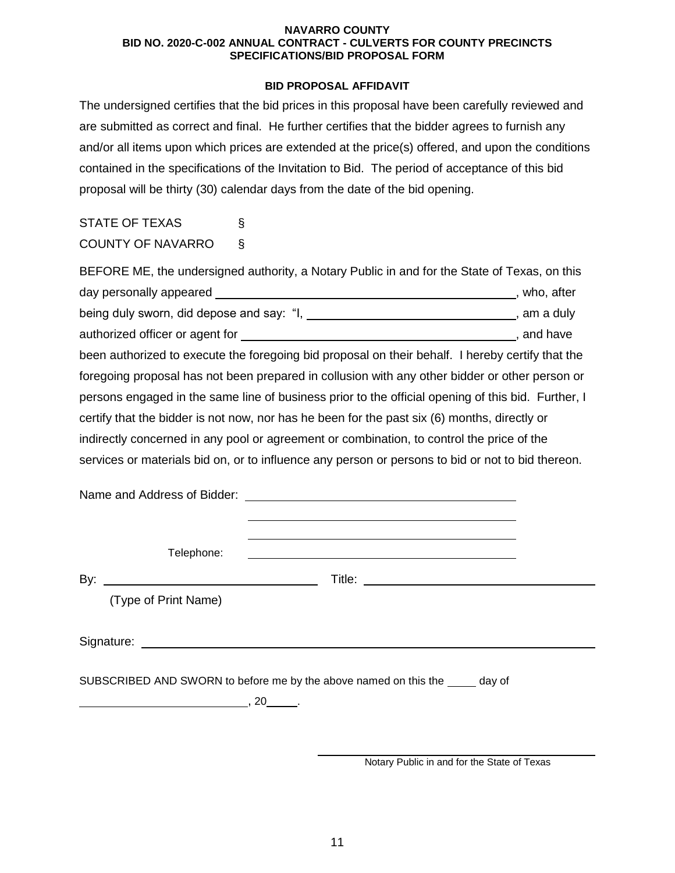## **BID PROPOSAL AFFIDAVIT**

The undersigned certifies that the bid prices in this proposal have been carefully reviewed and are submitted as correct and final. He further certifies that the bidder agrees to furnish any and/or all items upon which prices are extended at the price(s) offered, and upon the conditions contained in the specifications of the Invitation to Bid. The period of acceptance of this bid proposal will be thirty (30) calendar days from the date of the bid opening.

# STATE OF TEXAS § COUNTY OF NAVARRO §

| BEFORE ME, the undersigned authority, a Notary Public in and for the State of Texas, on this                    |                |
|-----------------------------------------------------------------------------------------------------------------|----------------|
| day personally appeared _________                                                                               | , who, after   |
| being duly sworn, did depose and say: "I,                                                                       | ___, am a duly |
| authorized officer or agent for a state of the state of the state of the state of the state of the state of the | , and have     |
| been authorized to execute the foregoing bid proposal on their behalf. I hereby certify that the                |                |
| foregoing proposal has not been prepared in collusion with any other bidder or other person or                  |                |
| persons engaged in the same line of business prior to the official opening of this bid. Further, I              |                |
| certify that the bidder is not now, nor has he been for the past six (6) months, directly or                    |                |
| indirectly concerned in any pool or agreement or combination, to control the price of the                       |                |
| services or materials bid on, or to influence any person or persons to bid or not to bid thereon.               |                |

Name and Address of Bidder:

Telephone:

By: Title:

(Type of Print Name)

Signature:

SUBSCRIBED AND SWORN to before me by the above named on this the day of

 $\overline{\phantom{a}}$ , 20  $\overline{\phantom{a}}$ .

Notary Public in and for the State of Texas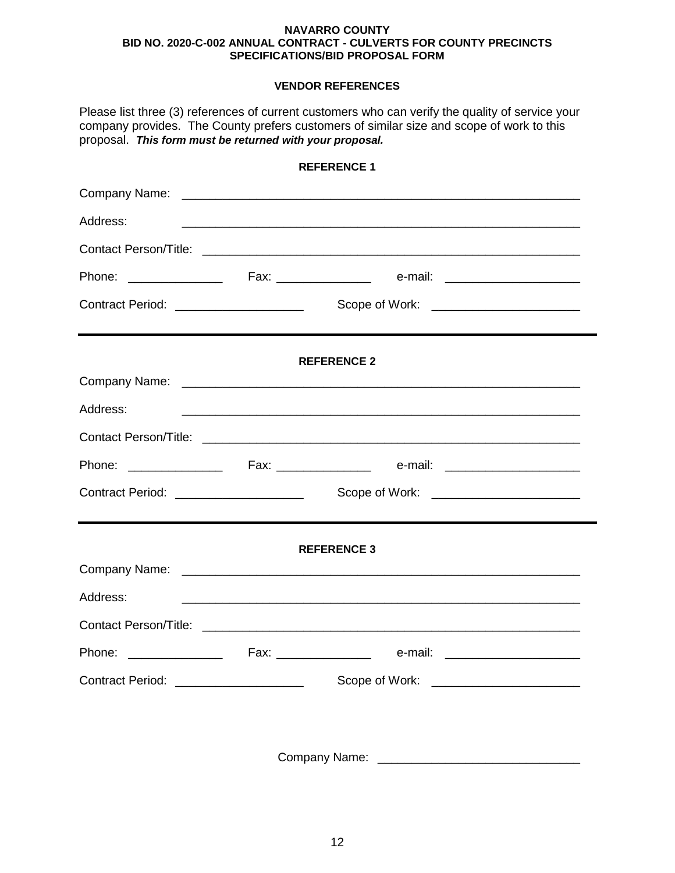# **VENDOR REFERENCES**

| proposal. This form must be returned with your proposal. | Please list three (3) references of current customers who can verify the quality of service your<br>company provides. The County prefers customers of similar size and scope of work to this |  |  |
|----------------------------------------------------------|----------------------------------------------------------------------------------------------------------------------------------------------------------------------------------------------|--|--|
|                                                          | <b>REFERENCE 1</b>                                                                                                                                                                           |  |  |
|                                                          |                                                                                                                                                                                              |  |  |
| Address:                                                 |                                                                                                                                                                                              |  |  |
|                                                          |                                                                                                                                                                                              |  |  |
|                                                          |                                                                                                                                                                                              |  |  |
| Contract Period: ______________________                  |                                                                                                                                                                                              |  |  |
|                                                          | <b>REFERENCE 2</b>                                                                                                                                                                           |  |  |
|                                                          |                                                                                                                                                                                              |  |  |
| Address:                                                 | <u> 1989 - Johann Stoff, amerikansk politiker (d. 1989)</u>                                                                                                                                  |  |  |
|                                                          |                                                                                                                                                                                              |  |  |
|                                                          |                                                                                                                                                                                              |  |  |
| Contract Period: ____________________                    |                                                                                                                                                                                              |  |  |
|                                                          | <b>REFERENCE 3</b>                                                                                                                                                                           |  |  |
|                                                          |                                                                                                                                                                                              |  |  |
| Address:                                                 |                                                                                                                                                                                              |  |  |
|                                                          |                                                                                                                                                                                              |  |  |
|                                                          |                                                                                                                                                                                              |  |  |
| Contract Period: _____________________                   |                                                                                                                                                                                              |  |  |
|                                                          |                                                                                                                                                                                              |  |  |

Company Name: \_\_\_\_\_\_\_\_\_\_\_\_\_\_\_\_\_\_\_\_\_\_\_\_\_\_\_\_\_\_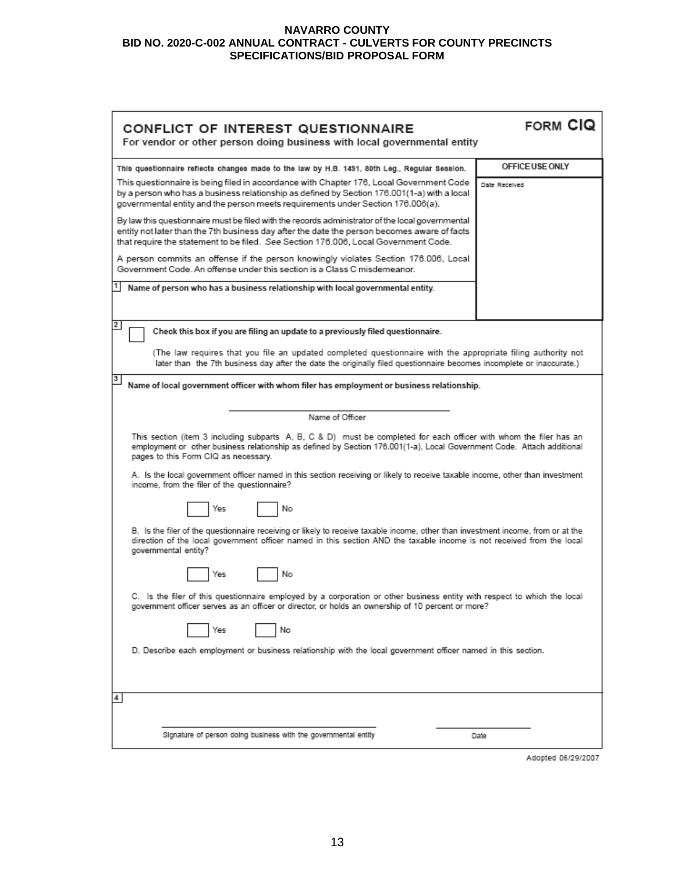| CONFLICT OF INTEREST QUESTIONNAIRE<br>For vendor or other person doing business with local governmental entity                                                                                                                                                                                                                                                                                                        | FORM CIQ        |  |  |  |
|-----------------------------------------------------------------------------------------------------------------------------------------------------------------------------------------------------------------------------------------------------------------------------------------------------------------------------------------------------------------------------------------------------------------------|-----------------|--|--|--|
| This questionnaire reflects changes made to the law by H.B. 1491, 80th Leg., Regular Session.                                                                                                                                                                                                                                                                                                                         | OFFICE USE ONLY |  |  |  |
| This questionnaire is being filed in accordance with Chapter 176, Local Government Code<br>by a person who has a business relationship as defined by Section 176.001(1-a) with a local<br>governmental entity and the person meets requirements under Section 176.006(a).                                                                                                                                             | Date Received   |  |  |  |
| By law this questionnaire must be filed with the records administrator of the local governmental<br>entity not later than the 7th business day after the date the person becomes aware of facts<br>that require the statement to be filed. See Section 176.006, Local Government Code.                                                                                                                                |                 |  |  |  |
| A person commits an offense if the person knowingly violates Section 176.006, Local<br>Government Code, An offense under this section is a Class C misdemeanor.                                                                                                                                                                                                                                                       |                 |  |  |  |
| Name of person who has a business relationship with local governmental entity.                                                                                                                                                                                                                                                                                                                                        |                 |  |  |  |
| $\mathbf{2}$<br>Check this box if you are filing an update to a previously filed questionnaire.                                                                                                                                                                                                                                                                                                                       |                 |  |  |  |
| (The law requires that you file an updated completed questionnaire with the appropriate filing authority not<br>later than the 7th business day after the date the originally filed questionnaire becomes incomplete or inaccurate.)                                                                                                                                                                                  |                 |  |  |  |
| 3<br>Name of local government officer with whom filer has employment or business relationship.                                                                                                                                                                                                                                                                                                                        |                 |  |  |  |
| Name of Officer                                                                                                                                                                                                                                                                                                                                                                                                       |                 |  |  |  |
| This section (item 3 including subparts A, B, C & D) must be completed for each officer with whom the filer has an<br>employment or other business relationship as defined by Section 176.001(1-a), Local Government Code. Attach additional<br>pages to this Form CIQ as necessary.<br>A. Is the local government officer named in this section receiving or likely to receive taxable income, other than investment |                 |  |  |  |
| income, from the filer of the questionnaire?<br>No<br>Yes                                                                                                                                                                                                                                                                                                                                                             |                 |  |  |  |
| B. Is the filer of the questionnaire receiving or likely to receive taxable income, other than investment income, from or at the<br>direction of the local government officer named in this section AND the taxable income is not received from the local<br>governmental entity?                                                                                                                                     |                 |  |  |  |
| No<br>Yes                                                                                                                                                                                                                                                                                                                                                                                                             |                 |  |  |  |
| C. Is the filer of this questionnaire employed by a corporation or other business entity with respect to which the local<br>government officer serves as an officer or director, or holds an ownership of 10 percent or more?                                                                                                                                                                                         |                 |  |  |  |
| No<br>Yes                                                                                                                                                                                                                                                                                                                                                                                                             |                 |  |  |  |
| D. Describe each employment or business relationship with the local government officer named in this section.                                                                                                                                                                                                                                                                                                         |                 |  |  |  |
| 4                                                                                                                                                                                                                                                                                                                                                                                                                     |                 |  |  |  |
| Signature of person doing business with the governmental entity                                                                                                                                                                                                                                                                                                                                                       | Date            |  |  |  |

Adopted 06/29/2007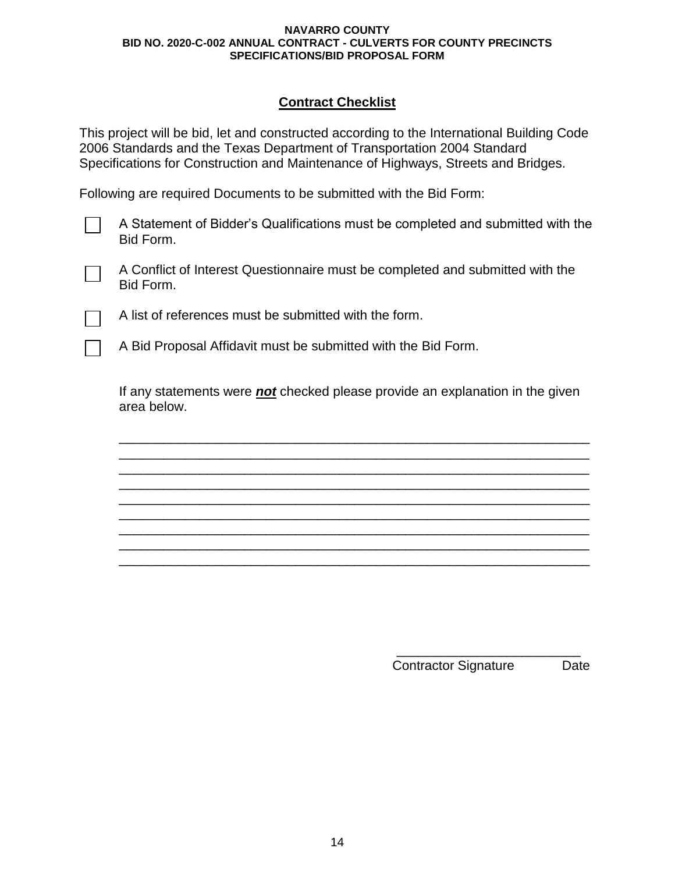# **Contract Checklist**

This project will be bid, let and constructed according to the International Building Code 2006 Standards and the Texas Department of Transportation 2004 Standard Specifications for Construction and Maintenance of Highways, Streets and Bridges.

Following are required Documents to be submitted with the Bid Form:

A Statement of Bidder's Qualifications must be completed and submitted with the Bid Form.

A Conflict of Interest Questionnaire must be completed and submitted with the Bid Form.

A list of references must be submitted with the form.

A Bid Proposal Affidavit must be submitted with the Bid Form.

If any statements were *not* checked please provide an explanation in the given area below.

\_\_\_\_\_\_\_\_\_\_\_\_\_\_\_\_\_\_\_\_\_\_\_\_\_\_\_\_\_\_\_\_\_\_\_\_\_\_\_\_\_\_\_\_\_\_\_\_\_\_\_\_\_\_\_\_\_\_\_\_\_\_\_\_ \_\_\_\_\_\_\_\_\_\_\_\_\_\_\_\_\_\_\_\_\_\_\_\_\_\_\_\_\_\_\_\_\_\_\_\_\_\_\_\_\_\_\_\_\_\_\_\_\_\_\_\_\_\_\_\_\_\_\_\_\_\_\_\_ \_\_\_\_\_\_\_\_\_\_\_\_\_\_\_\_\_\_\_\_\_\_\_\_\_\_\_\_\_\_\_\_\_\_\_\_\_\_\_\_\_\_\_\_\_\_\_\_\_\_\_\_\_\_\_\_\_\_\_\_\_\_\_\_ \_\_\_\_\_\_\_\_\_\_\_\_\_\_\_\_\_\_\_\_\_\_\_\_\_\_\_\_\_\_\_\_\_\_\_\_\_\_\_\_\_\_\_\_\_\_\_\_\_\_\_\_\_\_\_\_\_\_\_\_\_\_\_\_ \_\_\_\_\_\_\_\_\_\_\_\_\_\_\_\_\_\_\_\_\_\_\_\_\_\_\_\_\_\_\_\_\_\_\_\_\_\_\_\_\_\_\_\_\_\_\_\_\_\_\_\_\_\_\_\_\_\_\_\_\_\_\_\_ \_\_\_\_\_\_\_\_\_\_\_\_\_\_\_\_\_\_\_\_\_\_\_\_\_\_\_\_\_\_\_\_\_\_\_\_\_\_\_\_\_\_\_\_\_\_\_\_\_\_\_\_\_\_\_\_\_\_\_\_\_\_\_\_ \_\_\_\_\_\_\_\_\_\_\_\_\_\_\_\_\_\_\_\_\_\_\_\_\_\_\_\_\_\_\_\_\_\_\_\_\_\_\_\_\_\_\_\_\_\_\_\_\_\_\_\_\_\_\_\_\_\_\_\_\_\_\_\_ \_\_\_\_\_\_\_\_\_\_\_\_\_\_\_\_\_\_\_\_\_\_\_\_\_\_\_\_\_\_\_\_\_\_\_\_\_\_\_\_\_\_\_\_\_\_\_\_\_\_\_\_\_\_\_\_\_\_\_\_\_\_\_\_ \_\_\_\_\_\_\_\_\_\_\_\_\_\_\_\_\_\_\_\_\_\_\_\_\_\_\_\_\_\_\_\_\_\_\_\_\_\_\_\_\_\_\_\_\_\_\_\_\_\_\_\_\_\_\_\_\_\_\_\_\_\_\_\_

> \_\_\_\_\_\_\_\_\_\_\_\_\_\_\_\_\_\_\_\_\_\_\_\_\_ Contractor Signature Date